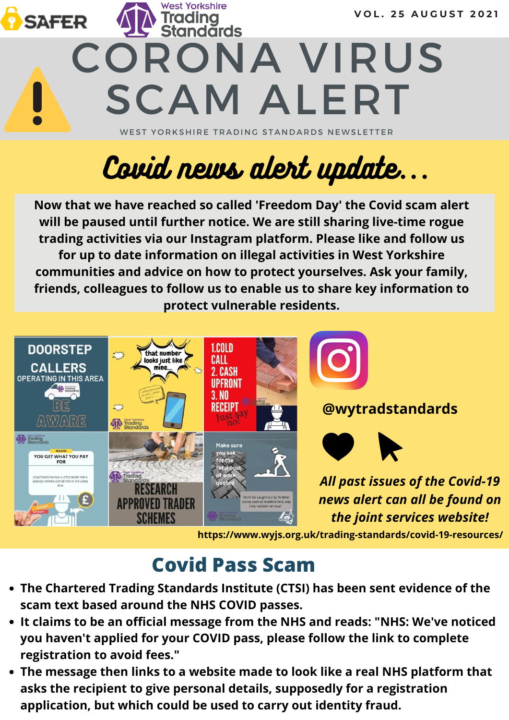

# Covid news alert update...

**Now that we have reached so called 'Freedom Day' the Covid scam alert will be paused until further notice. We are still sharing live-time rogue trading activities via our Instagram platform. Please like and follow us for up to date information on illegal activities in West Yorkshire communities and advice on how to protect yourselves. Ask your family, friends, colleagues to follow us to enable us to share key information to protect vulnerable residents.**



**https://www.wyjs.org.uk/trading-standards/covid-19-resources/**

## **Covid Pass Scam**

- **The Chartered Trading Standards Institute (CTSI) has been sent evidence of the scam text based around the NHS COVID passes.**
- **It claims to be an official message from the NHS and reads: "NHS: We've noticed you haven't applied for your COVID pass, please follow the link to complete registration to avoid fees."**
- **The message then links to a website made to look like a real NHS platform that asks the recipient to give personal details, supposedly for a registration application, but which could be used to carry out identity fraud.**